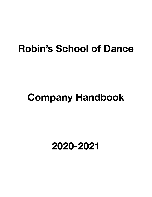## **Robin's School of Dance**

# **Company Handbook**

### **2020-2021**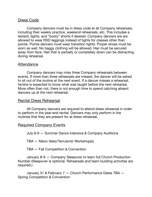#### Dress Code

Company dancers must be in dress code at all Company rehearsals, including their weekly practice, weekend rehearsals, etc. This includes a leotard, tights, and "booty" shorts if desired. Company dancers are are allowed to wear RSD leggings instead of tights for classes other than pointe. Pointe dancers must wear transition tights. Proper shoes must be worn as well. No baggy clothing will be allowed. Hair must be secured away from face. Hair that is partially or completely down can be distracting during rehearsal.

#### Attendance

Company dancers may miss three Company rehearsals between events. If more than three rehearsals are missed, the dancer will be asked to sit out of the routine at the next event. If a dancer misses a rehearsal, he/she is expected to know what was taught before the next rehearsal. More often than not, there is not enough time to spend catching absent dancers up at the next rehearsal.

#### Recital Dress Rehearsal

All Company dancers are required to attend dress rehearsal in order to perform in the year-end recital. Dancers may only perform in the routines that they are present for at dress rehearsal.

#### Required Company Events

July 8-9 — Summer Dance Intensive & Company Auditions

TBA — Mario Velez/TamJams! Workshop(s)

TBA — Fall Competition & Convention

January 8-9 — Company Sleepover to learn full Church Production Number (Sleepover is optional. Rehearsals and team building activities are required.)

January 31 & February 7 — Church Performance Dates TBA — Spring Competition & Convention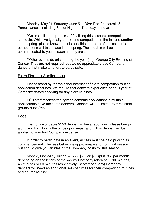Monday, May 31-Saturday, June 5 — Year-End Rehearsals & Performances (including Senior Night on Thursday, June 3)

\*We are still in the process of finalizing this season's competition schedule. While we typically attend one competition in the fall and another in the spring, please know that it is possible that both of this season's competitions will take place in the spring. These dates will be communicated to you as soon as they are set.

\*\*Other events do arise during the year (e.g., Orange City Evening of Dance). They are not required, but we do appreciate those Company dancers that make an effort to participate.

#### **Extra Routine Applications**

Please stand by for the announcement of extra competition routine application deadlines. We require that dancers experience one full year of Company before applying for any extra routines.

RSD staff reserves the right to combine applications if multiple applications have the same dancers. Dancers will be limited to three small groups/duets/trios.

#### Fees

The non-refundable \$150 deposit is due at auditions. Please bring it along and turn it in to the office upon registration. This deposit will be applied to your first Company expense.

In order to participate in an event, all fees must be paid prior to its commencement. The fees below are approximate and from last season, but should give you an idea of the Company costs for this season.

Monthly Company Tuition — \$65, \$75, or \$85 (plus tax) per month depending on the length of the weekly Company rehearsal – 30 minutes, 45 minutes or 60 minutes respectively (September–May) Company dancers will need an additional 3-4 costumes for their competition routines and church routine.